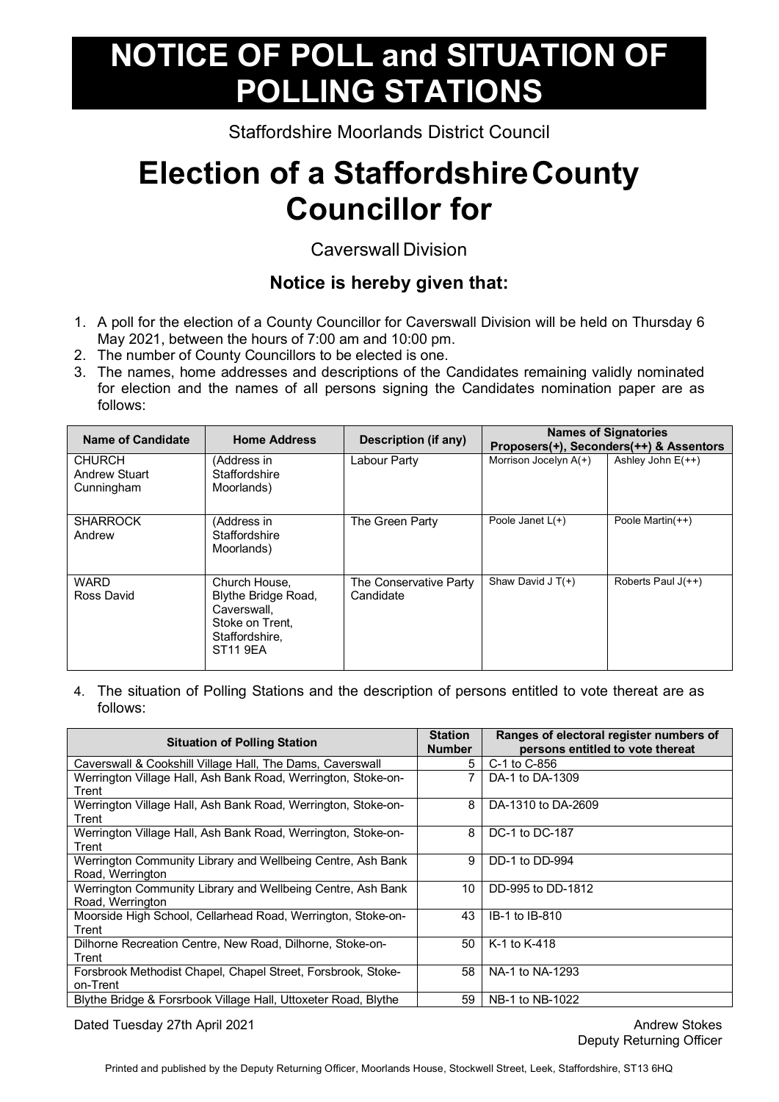## **NOTICE OF POLL and SITUATION OF POLLING STATIONS**

Staffordshire Moorlands District Council

## **Election of a StaffordshireCounty Councillor for**

## Caverswall Division

## **Notice is hereby given that:**

- 1. A poll for the election of a County Councillor for Caverswall Division will be held on Thursday 6 May 2021, between the hours of 7:00 am and 10:00 pm.
- 2. The number of County Councillors to be elected is one.
- 3. The names, home addresses and descriptions of the Candidates remaining validly nominated for election and the names of all persons signing the Candidates nomination paper are as follows:

| Name of Candidate                            | <b>Home Address</b>                                                                                         | Description (if any)                |                         | <b>Names of Signatories</b><br>Proposers(+), Seconders(++) & Assentors |
|----------------------------------------------|-------------------------------------------------------------------------------------------------------------|-------------------------------------|-------------------------|------------------------------------------------------------------------|
| CHURCH<br><b>Andrew Stuart</b><br>Cunningham | (Address in<br>Staffordshire<br>Moorlands)                                                                  | Labour Party                        | Morrison Jocelyn $A(+)$ | Ashley John $E(++)$                                                    |
| <b>SHARROCK</b><br>Andrew                    | (Address in<br>Staffordshire<br>Moorlands)                                                                  | The Green Party                     | Poole Janet $L(+)$      | Poole Martin(++)                                                       |
| <b>WARD</b><br>Ross David                    | Church House,<br>Blythe Bridge Road,<br>Caverswall.<br>Stoke on Trent.<br>Staffordshire,<br><b>ST11 9EA</b> | The Conservative Party<br>Candidate | Shaw David J $T(+)$     | Roberts Paul $J(++)$                                                   |

4. The situation of Polling Stations and the description of persons entitled to vote thereat are as follows:

| <b>Situation of Polling Station</b>                                             | <b>Station</b><br><b>Number</b> | Ranges of electoral register numbers of<br>persons entitled to vote thereat |
|---------------------------------------------------------------------------------|---------------------------------|-----------------------------------------------------------------------------|
| Caverswall & Cookshill Village Hall, The Dams, Caverswall                       | 5                               | C-1 to C-856                                                                |
| Werrington Village Hall, Ash Bank Road, Werrington, Stoke-on-<br>Trent          |                                 | DA-1 to DA-1309                                                             |
| Werrington Village Hall, Ash Bank Road, Werrington, Stoke-on-<br>Trent          | 8                               | DA-1310 to DA-2609                                                          |
| Werrington Village Hall, Ash Bank Road, Werrington, Stoke-on-<br>Trent          | 8                               | DC-1 to DC-187                                                              |
| Werrington Community Library and Wellbeing Centre, Ash Bank<br>Road, Werrington | 9                               | DD-1 to DD-994                                                              |
| Werrington Community Library and Wellbeing Centre, Ash Bank<br>Road, Werrington | 10                              | DD-995 to DD-1812                                                           |
| Moorside High School, Cellarhead Road, Werrington, Stoke-on-<br>Trent           | 43                              | IB-1 to IB-810                                                              |
| Dilhorne Recreation Centre, New Road, Dilhorne, Stoke-on-<br>Trent              | 50                              | K-1 to K-418                                                                |
| Forsbrook Methodist Chapel, Chapel Street, Forsbrook, Stoke-<br>on-Trent        | 58                              | NA-1 to NA-1293                                                             |
| Blythe Bridge & Forsrbook Village Hall, Uttoxeter Road, Blythe                  | 59                              | NB-1 to NB-1022                                                             |

Dated Tuesday 27th April 2021 Andrew Stokes

Deputy Returning Officer